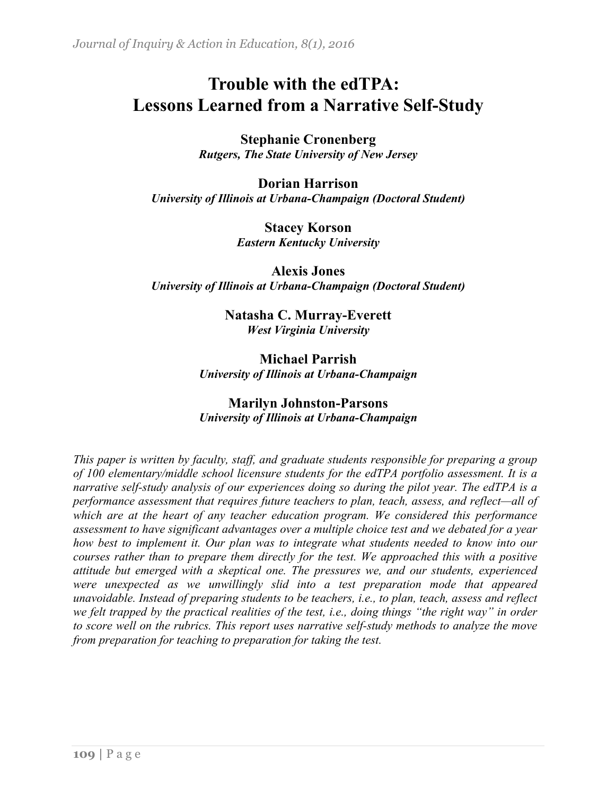# **Trouble with the edTPA: Lessons Learned from a Narrative Self-Study**

**Stephanie Cronenberg**  *Rutgers, The State University of New Jersey*

**Dorian Harrison**  *University of Illinois at Urbana-Champaign (Doctoral Student)*

> **Stacey Korson**  *Eastern Kentucky University*

**Alexis Jones** *University of Illinois at Urbana-Champaign (Doctoral Student)*

> **Natasha C. Murray-Everett** *West Virginia University*

**Michael Parrish**  *University of Illinois at Urbana-Champaign*

### **Marilyn Johnston-Parsons** *University of Illinois at Urbana-Champaign*

*This paper is written by faculty, staff, and graduate students responsible for preparing a group of 100 elementary/middle school licensure students for the edTPA portfolio assessment. It is a narrative self-study analysis of our experiences doing so during the pilot year. The edTPA is a performance assessment that requires future teachers to plan, teach, assess, and reflect—all of which are at the heart of any teacher education program. We considered this performance assessment to have significant advantages over a multiple choice test and we debated for a year how best to implement it. Our plan was to integrate what students needed to know into our courses rather than to prepare them directly for the test. We approached this with a positive attitude but emerged with a skeptical one. The pressures we, and our students, experienced were unexpected as we unwillingly slid into a test preparation mode that appeared unavoidable. Instead of preparing students to be teachers, i.e., to plan, teach, assess and reflect we felt trapped by the practical realities of the test, i.e., doing things "the right way" in order to score well on the rubrics. This report uses narrative self-study methods to analyze the move from preparation for teaching to preparation for taking the test.*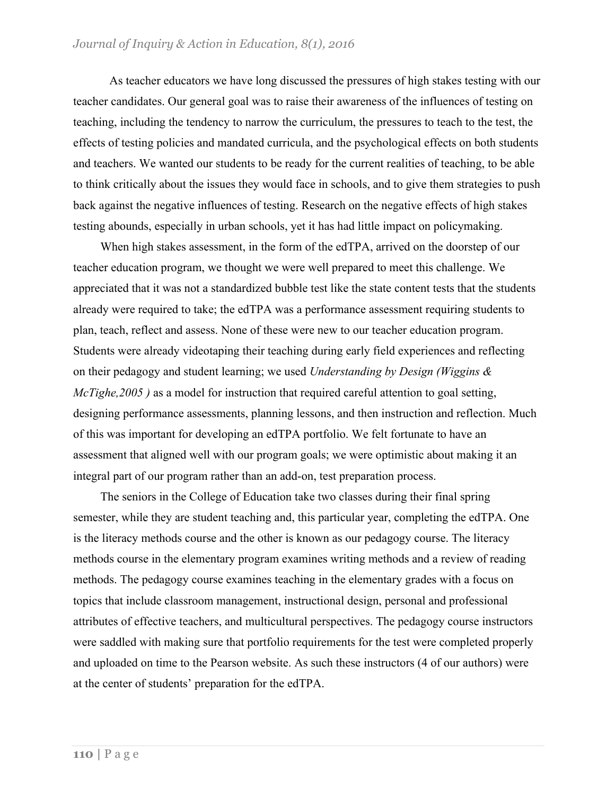As teacher educators we have long discussed the pressures of high stakes testing with our teacher candidates. Our general goal was to raise their awareness of the influences of testing on teaching, including the tendency to narrow the curriculum, the pressures to teach to the test, the effects of testing policies and mandated curricula, and the psychological effects on both students and teachers. We wanted our students to be ready for the current realities of teaching, to be able to think critically about the issues they would face in schools, and to give them strategies to push back against the negative influences of testing. Research on the negative effects of high stakes testing abounds, especially in urban schools, yet it has had little impact on policymaking.

When high stakes assessment, in the form of the edTPA, arrived on the doorstep of our teacher education program, we thought we were well prepared to meet this challenge. We appreciated that it was not a standardized bubble test like the state content tests that the students already were required to take; the edTPA was a performance assessment requiring students to plan, teach, reflect and assess. None of these were new to our teacher education program. Students were already videotaping their teaching during early field experiences and reflecting on their pedagogy and student learning; we used *Understanding by Design (Wiggins & McTighe,2005* ) as a model for instruction that required careful attention to goal setting, designing performance assessments, planning lessons, and then instruction and reflection. Much of this was important for developing an edTPA portfolio. We felt fortunate to have an assessment that aligned well with our program goals; we were optimistic about making it an integral part of our program rather than an add-on, test preparation process.

The seniors in the College of Education take two classes during their final spring semester, while they are student teaching and, this particular year, completing the edTPA. One is the literacy methods course and the other is known as our pedagogy course. The literacy methods course in the elementary program examines writing methods and a review of reading methods. The pedagogy course examines teaching in the elementary grades with a focus on topics that include classroom management, instructional design, personal and professional attributes of effective teachers, and multicultural perspectives. The pedagogy course instructors were saddled with making sure that portfolio requirements for the test were completed properly and uploaded on time to the Pearson website. As such these instructors (4 of our authors) were at the center of students' preparation for the edTPA.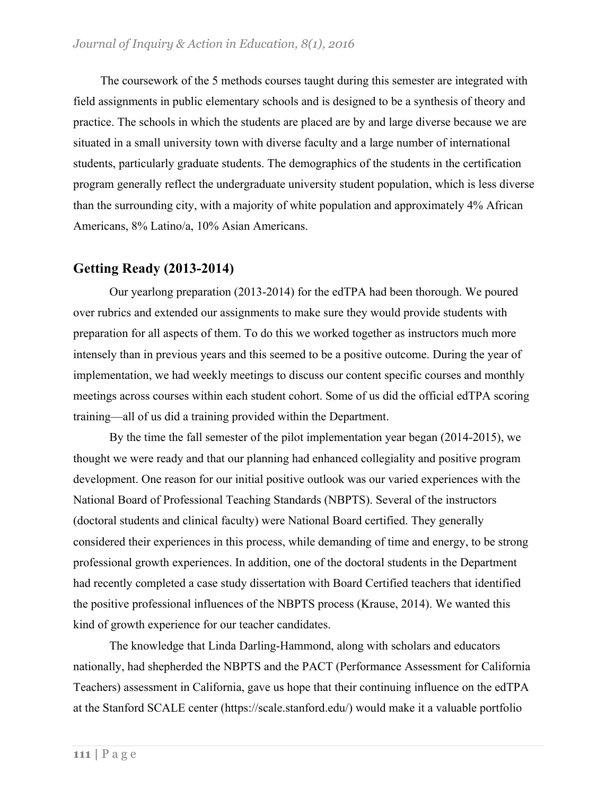The coursework of the 5 methods courses taught during this semester are integrated with field assignments in public elementary schools and is designed to be a synthesis of theory and practice. The schools in which the students are placed are by and large diverse because we are situated in a small university town with diverse faculty and a large number of international students, particularly graduate students. The demographics of the students in the certification program generally reflect the undergraduate university student population, which is less diverse than the surrounding city, with a majority of white population and approximately 4% African Americans, 8% Latino/a, 10% Asian Americans.

### **Getting Ready (2013-2014)**

Our yearlong preparation (2013-2014) for the edTPA had been thorough. We poured over rubrics and extended our assignments to make sure they would provide students with preparation for all aspects of them. To do this we worked together as instructors much more intensely than in previous years and this seemed to be a positive outcome. During the year of implementation, we had weekly meetings to discuss our content specific courses and monthly meetings across courses within each student cohort. Some of us did the official edTPA scoring training—all of us did a training provided within the Department.

By the time the fall semester of the pilot implementation year began (2014-2015), we thought we were ready and that our planning had enhanced collegiality and positive program development. One reason for our initial positive outlook was our varied experiences with the National Board of Professional Teaching Standards (NBPTS). Several of the instructors (doctoral students and clinical faculty) were National Board certified. They generally considered their experiences in this process, while demanding of time and energy, to be strong professional growth experiences. In addition, one of the doctoral students in the Department had recently completed a case study dissertation with Board Certified teachers that identified the positive professional influences of the NBPTS process (Krause, 2014). We wanted this kind of growth experience for our teacher candidates.

The knowledge that Linda Darling-Hammond, along with scholars and educators nationally, had shepherded the NBPTS and the PACT (Performance Assessment for California Teachers) assessment in California, gave us hope that their continuing influence on the edTPA at the Stanford SCALE center (https://scale.stanford.edu/) would make it a valuable portfolio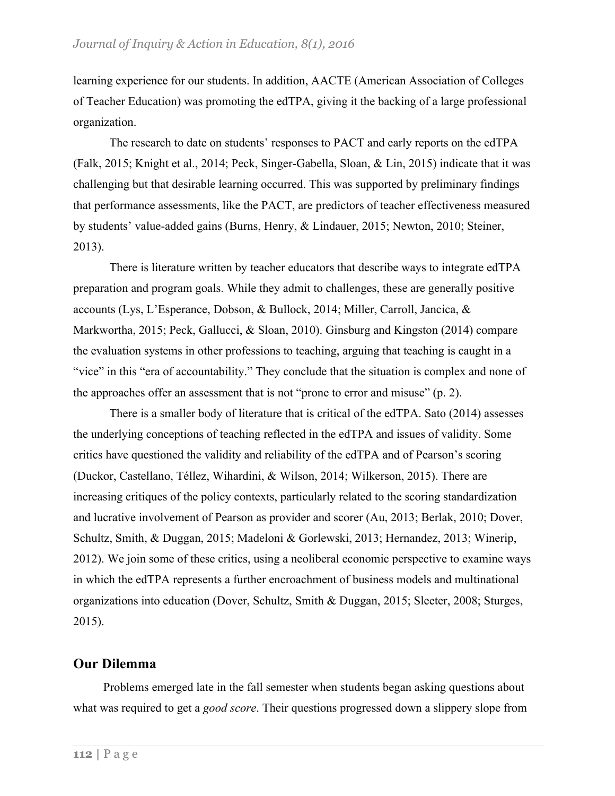learning experience for our students. In addition, AACTE (American Association of Colleges of Teacher Education) was promoting the edTPA, giving it the backing of a large professional organization.

The research to date on students' responses to PACT and early reports on the edTPA (Falk, 2015; Knight et al., 2014; Peck, Singer-Gabella, Sloan, & Lin, 2015) indicate that it was challenging but that desirable learning occurred. This was supported by preliminary findings that performance assessments, like the PACT, are predictors of teacher effectiveness measured by students' value-added gains (Burns, Henry, & Lindauer, 2015; Newton, 2010; Steiner, 2013).

There is literature written by teacher educators that describe ways to integrate edTPA preparation and program goals. While they admit to challenges, these are generally positive accounts (Lys, L'Esperance, Dobson, & Bullock, 2014; Miller, Carroll, Jancica, & Markwortha, 2015; Peck, Gallucci, & Sloan, 2010). Ginsburg and Kingston (2014) compare the evaluation systems in other professions to teaching, arguing that teaching is caught in a "vice" in this "era of accountability." They conclude that the situation is complex and none of the approaches offer an assessment that is not "prone to error and misuse" (p. 2).

There is a smaller body of literature that is critical of the edTPA. Sato (2014) assesses the underlying conceptions of teaching reflected in the edTPA and issues of validity. Some critics have questioned the validity and reliability of the edTPA and of Pearson's scoring (Duckor, Castellano, Téllez, Wihardini, & Wilson, 2014; Wilkerson, 2015). There are increasing critiques of the policy contexts, particularly related to the scoring standardization and lucrative involvement of Pearson as provider and scorer (Au, 2013; Berlak, 2010; Dover, Schultz, Smith, & Duggan, 2015; Madeloni & Gorlewski, 2013; Hernandez, 2013; Winerip, 2012). We join some of these critics, using a neoliberal economic perspective to examine ways in which the edTPA represents a further encroachment of business models and multinational organizations into education (Dover, Schultz, Smith & Duggan, 2015; Sleeter, 2008; Sturges, 2015).

#### **Our Dilemma**

Problems emerged late in the fall semester when students began asking questions about what was required to get a *good score*. Their questions progressed down a slippery slope from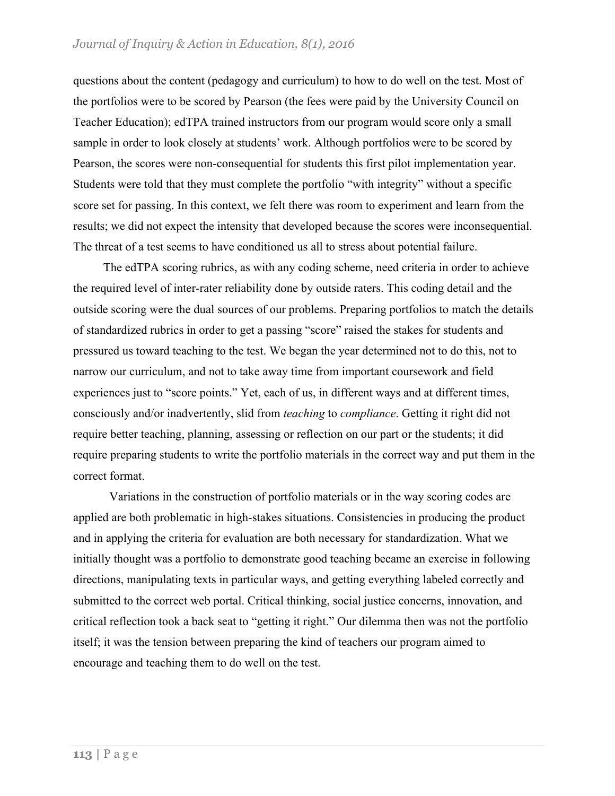questions about the content (pedagogy and curriculum) to how to do well on the test. Most of the portfolios were to be scored by Pearson (the fees were paid by the University Council on Teacher Education); edTPA trained instructors from our program would score only a small sample in order to look closely at students' work. Although portfolios were to be scored by Pearson, the scores were non-consequential for students this first pilot implementation year. Students were told that they must complete the portfolio "with integrity" without a specific score set for passing. In this context, we felt there was room to experiment and learn from the results; we did not expect the intensity that developed because the scores were inconsequential. The threat of a test seems to have conditioned us all to stress about potential failure.

The edTPA scoring rubrics, as with any coding scheme, need criteria in order to achieve the required level of inter-rater reliability done by outside raters. This coding detail and the outside scoring were the dual sources of our problems. Preparing portfolios to match the details of standardized rubrics in order to get a passing "score" raised the stakes for students and pressured us toward teaching to the test. We began the year determined not to do this, not to narrow our curriculum, and not to take away time from important coursework and field experiences just to "score points." Yet, each of us, in different ways and at different times, consciously and/or inadvertently, slid from *teaching* to *compliance*. Getting it right did not require better teaching, planning, assessing or reflection on our part or the students; it did require preparing students to write the portfolio materials in the correct way and put them in the correct format.

Variations in the construction of portfolio materials or in the way scoring codes are applied are both problematic in high-stakes situations. Consistencies in producing the product and in applying the criteria for evaluation are both necessary for standardization. What we initially thought was a portfolio to demonstrate good teaching became an exercise in following directions, manipulating texts in particular ways, and getting everything labeled correctly and submitted to the correct web portal. Critical thinking, social justice concerns, innovation, and critical reflection took a back seat to "getting it right." Our dilemma then was not the portfolio itself; it was the tension between preparing the kind of teachers our program aimed to encourage and teaching them to do well on the test.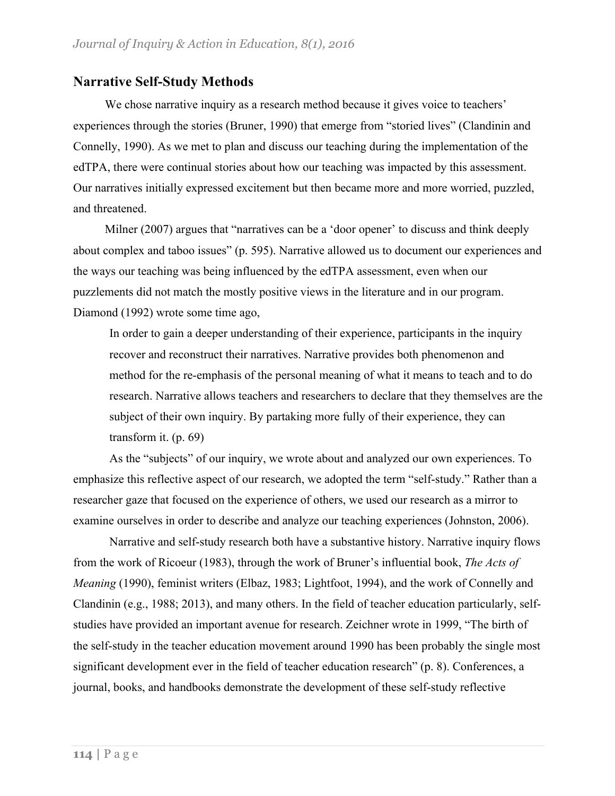### **Narrative Self-Study Methods**

We chose narrative inquiry as a research method because it gives voice to teachers' experiences through the stories (Bruner, 1990) that emerge from "storied lives" (Clandinin and Connelly, 1990). As we met to plan and discuss our teaching during the implementation of the edTPA, there were continual stories about how our teaching was impacted by this assessment. Our narratives initially expressed excitement but then became more and more worried, puzzled, and threatened.

Milner (2007) argues that "narratives can be a 'door opener' to discuss and think deeply about complex and taboo issues" (p. 595). Narrative allowed us to document our experiences and the ways our teaching was being influenced by the edTPA assessment, even when our puzzlements did not match the mostly positive views in the literature and in our program. Diamond (1992) wrote some time ago,

In order to gain a deeper understanding of their experience, participants in the inquiry recover and reconstruct their narratives. Narrative provides both phenomenon and method for the re-emphasis of the personal meaning of what it means to teach and to do research. Narrative allows teachers and researchers to declare that they themselves are the subject of their own inquiry. By partaking more fully of their experience, they can transform it. (p. 69)

As the "subjects" of our inquiry, we wrote about and analyzed our own experiences. To emphasize this reflective aspect of our research, we adopted the term "self-study." Rather than a researcher gaze that focused on the experience of others, we used our research as a mirror to examine ourselves in order to describe and analyze our teaching experiences (Johnston, 2006).

Narrative and self-study research both have a substantive history. Narrative inquiry flows from the work of Ricoeur (1983), through the work of Bruner's influential book, *The Acts of Meaning* (1990), feminist writers (Elbaz, 1983; Lightfoot, 1994), and the work of Connelly and Clandinin (e.g., 1988; 2013), and many others. In the field of teacher education particularly, selfstudies have provided an important avenue for research. Zeichner wrote in 1999, "The birth of the self-study in the teacher education movement around 1990 has been probably the single most significant development ever in the field of teacher education research" (p. 8). Conferences, a journal, books, and handbooks demonstrate the development of these self-study reflective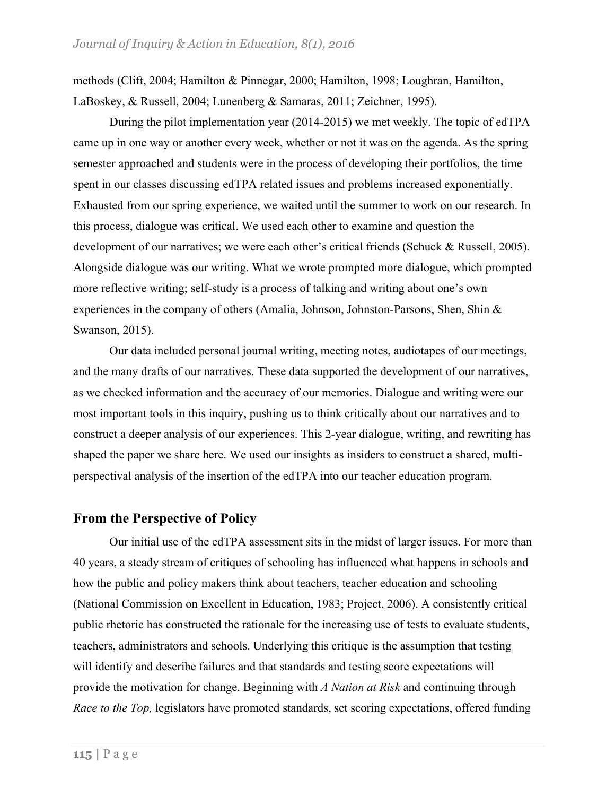methods (Clift, 2004; Hamilton & Pinnegar, 2000; Hamilton, 1998; Loughran, Hamilton, LaBoskey, & Russell, 2004; Lunenberg & Samaras, 2011; Zeichner, 1995).

During the pilot implementation year (2014-2015) we met weekly. The topic of edTPA came up in one way or another every week, whether or not it was on the agenda. As the spring semester approached and students were in the process of developing their portfolios, the time spent in our classes discussing edTPA related issues and problems increased exponentially. Exhausted from our spring experience, we waited until the summer to work on our research. In this process, dialogue was critical. We used each other to examine and question the development of our narratives; we were each other's critical friends (Schuck & Russell, 2005). Alongside dialogue was our writing. What we wrote prompted more dialogue, which prompted more reflective writing; self-study is a process of talking and writing about one's own experiences in the company of others (Amalia, Johnson, Johnston-Parsons, Shen, Shin & Swanson, 2015).

Our data included personal journal writing, meeting notes, audiotapes of our meetings, and the many drafts of our narratives. These data supported the development of our narratives, as we checked information and the accuracy of our memories. Dialogue and writing were our most important tools in this inquiry, pushing us to think critically about our narratives and to construct a deeper analysis of our experiences. This 2-year dialogue, writing, and rewriting has shaped the paper we share here. We used our insights as insiders to construct a shared, multiperspectival analysis of the insertion of the edTPA into our teacher education program.

### **From the Perspective of Policy**

Our initial use of the edTPA assessment sits in the midst of larger issues. For more than 40 years, a steady stream of critiques of schooling has influenced what happens in schools and how the public and policy makers think about teachers, teacher education and schooling (National Commission on Excellent in Education, 1983; Project, 2006). A consistently critical public rhetoric has constructed the rationale for the increasing use of tests to evaluate students, teachers, administrators and schools. Underlying this critique is the assumption that testing will identify and describe failures and that standards and testing score expectations will provide the motivation for change. Beginning with *A Nation at Risk* and continuing through *Race to the Top,* legislators have promoted standards, set scoring expectations, offered funding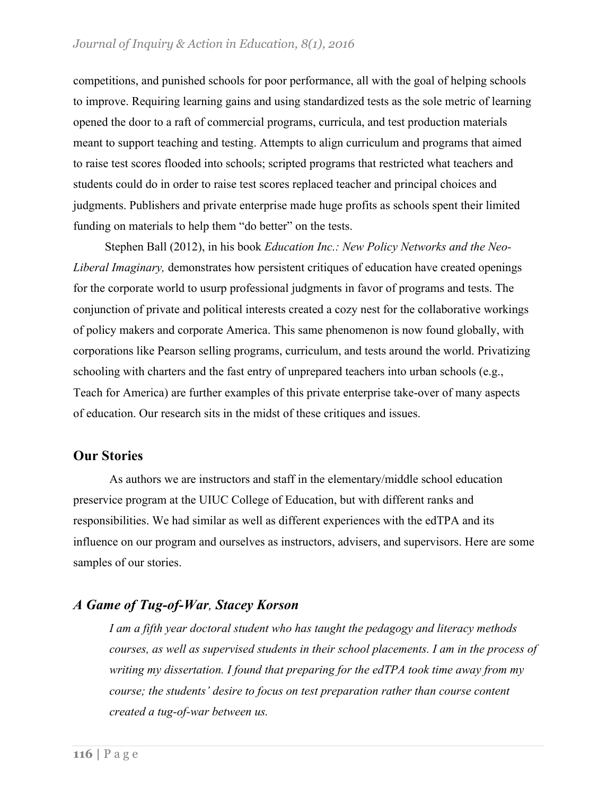competitions, and punished schools for poor performance, all with the goal of helping schools to improve. Requiring learning gains and using standardized tests as the sole metric of learning opened the door to a raft of commercial programs, curricula, and test production materials meant to support teaching and testing. Attempts to align curriculum and programs that aimed to raise test scores flooded into schools; scripted programs that restricted what teachers and students could do in order to raise test scores replaced teacher and principal choices and judgments. Publishers and private enterprise made huge profits as schools spent their limited funding on materials to help them "do better" on the tests.

Stephen Ball (2012), in his book *Education Inc.: New Policy Networks and the Neo-Liberal Imaginary,* demonstrates how persistent critiques of education have created openings for the corporate world to usurp professional judgments in favor of programs and tests. The conjunction of private and political interests created a cozy nest for the collaborative workings of policy makers and corporate America. This same phenomenon is now found globally, with corporations like Pearson selling programs, curriculum, and tests around the world. Privatizing schooling with charters and the fast entry of unprepared teachers into urban schools (e.g., Teach for America) are further examples of this private enterprise take-over of many aspects of education. Our research sits in the midst of these critiques and issues.

### **Our Stories**

As authors we are instructors and staff in the elementary/middle school education preservice program at the UIUC College of Education, but with different ranks and responsibilities. We had similar as well as different experiences with the edTPA and its influence on our program and ourselves as instructors, advisers, and supervisors. Here are some samples of our stories.

### *A Game of Tug-of-War, Stacey Korson*

*I am a fifth year doctoral student who has taught the pedagogy and literacy methods courses, as well as supervised students in their school placements. I am in the process of writing my dissertation. I found that preparing for the edTPA took time away from my course; the students' desire to focus on test preparation rather than course content created a tug-of-war between us.*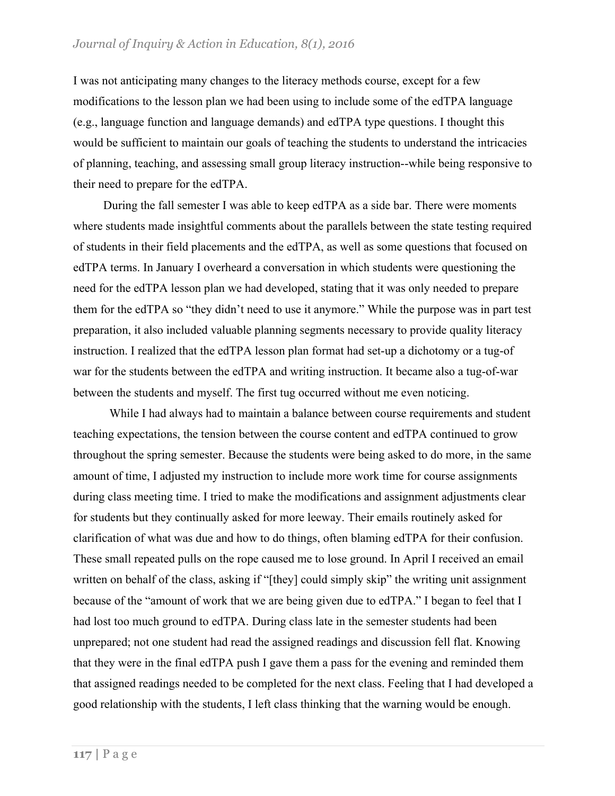I was not anticipating many changes to the literacy methods course, except for a few modifications to the lesson plan we had been using to include some of the edTPA language (e.g., language function and language demands) and edTPA type questions. I thought this would be sufficient to maintain our goals of teaching the students to understand the intricacies of planning, teaching, and assessing small group literacy instruction--while being responsive to their need to prepare for the edTPA.

During the fall semester I was able to keep edTPA as a side bar. There were moments where students made insightful comments about the parallels between the state testing required of students in their field placements and the edTPA, as well as some questions that focused on edTPA terms. In January I overheard a conversation in which students were questioning the need for the edTPA lesson plan we had developed, stating that it was only needed to prepare them for the edTPA so "they didn't need to use it anymore." While the purpose was in part test preparation, it also included valuable planning segments necessary to provide quality literacy instruction. I realized that the edTPA lesson plan format had set-up a dichotomy or a tug-of war for the students between the edTPA and writing instruction. It became also a tug-of-war between the students and myself. The first tug occurred without me even noticing.

While I had always had to maintain a balance between course requirements and student teaching expectations, the tension between the course content and edTPA continued to grow throughout the spring semester. Because the students were being asked to do more, in the same amount of time, I adjusted my instruction to include more work time for course assignments during class meeting time. I tried to make the modifications and assignment adjustments clear for students but they continually asked for more leeway. Their emails routinely asked for clarification of what was due and how to do things, often blaming edTPA for their confusion. These small repeated pulls on the rope caused me to lose ground. In April I received an email written on behalf of the class, asking if "[they] could simply skip" the writing unit assignment because of the "amount of work that we are being given due to edTPA." I began to feel that I had lost too much ground to edTPA. During class late in the semester students had been unprepared; not one student had read the assigned readings and discussion fell flat. Knowing that they were in the final edTPA push I gave them a pass for the evening and reminded them that assigned readings needed to be completed for the next class. Feeling that I had developed a good relationship with the students, I left class thinking that the warning would be enough.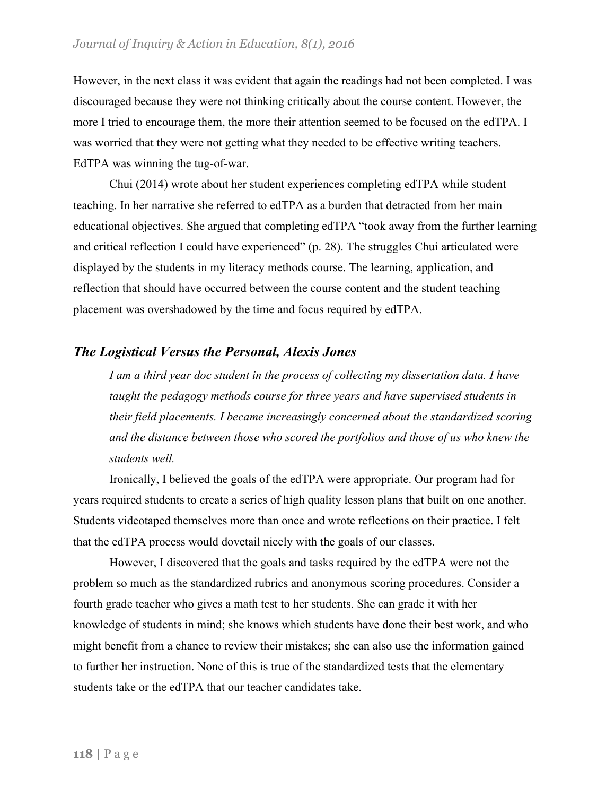However, in the next class it was evident that again the readings had not been completed. I was discouraged because they were not thinking critically about the course content. However, the more I tried to encourage them, the more their attention seemed to be focused on the edTPA. I was worried that they were not getting what they needed to be effective writing teachers. EdTPA was winning the tug-of-war.

Chui (2014) wrote about her student experiences completing edTPA while student teaching. In her narrative she referred to edTPA as a burden that detracted from her main educational objectives. She argued that completing edTPA "took away from the further learning and critical reflection I could have experienced" (p. 28). The struggles Chui articulated were displayed by the students in my literacy methods course. The learning, application, and reflection that should have occurred between the course content and the student teaching placement was overshadowed by the time and focus required by edTPA.

### *The Logistical Versus the Personal, Alexis Jones*

*I am a third year doc student in the process of collecting my dissertation data. I have taught the pedagogy methods course for three years and have supervised students in their field placements. I became increasingly concerned about the standardized scoring and the distance between those who scored the portfolios and those of us who knew the students well.*

Ironically, I believed the goals of the edTPA were appropriate. Our program had for years required students to create a series of high quality lesson plans that built on one another. Students videotaped themselves more than once and wrote reflections on their practice. I felt that the edTPA process would dovetail nicely with the goals of our classes.

However, I discovered that the goals and tasks required by the edTPA were not the problem so much as the standardized rubrics and anonymous scoring procedures. Consider a fourth grade teacher who gives a math test to her students. She can grade it with her knowledge of students in mind; she knows which students have done their best work, and who might benefit from a chance to review their mistakes; she can also use the information gained to further her instruction. None of this is true of the standardized tests that the elementary students take or the edTPA that our teacher candidates take.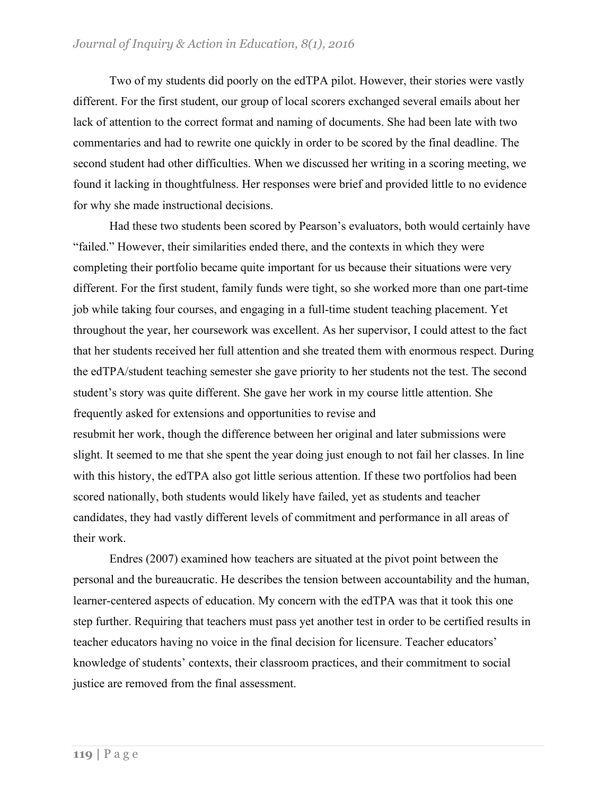Two of my students did poorly on the edTPA pilot. However, their stories were vastly different. For the first student, our group of local scorers exchanged several emails about her lack of attention to the correct format and naming of documents. She had been late with two commentaries and had to rewrite one quickly in order to be scored by the final deadline. The second student had other difficulties. When we discussed her writing in a scoring meeting, we found it lacking in thoughtfulness. Her responses were brief and provided little to no evidence for why she made instructional decisions.

Had these two students been scored by Pearson's evaluators, both would certainly have "failed." However, their similarities ended there, and the contexts in which they were completing their portfolio became quite important for us because their situations were very different. For the first student, family funds were tight, so she worked more than one part-time job while taking four courses, and engaging in a full-time student teaching placement. Yet throughout the year, her coursework was excellent. As her supervisor, I could attest to the fact that her students received her full attention and she treated them with enormous respect. During the edTPA/student teaching semester she gave priority to her students not the test. The second student's story was quite different. She gave her work in my course little attention. She frequently asked for extensions and opportunities to revise and resubmit her work, though the difference between her original and later submissions were slight. It seemed to me that she spent the year doing just enough to not fail her classes. In line with this history, the edTPA also got little serious attention. If these two portfolios had been scored nationally, both students would likely have failed, yet as students and teacher candidates, they had vastly different levels of commitment and performance in all areas of their work.

 Endres (2007) examined how teachers are situated at the pivot point between the personal and the bureaucratic. He describes the tension between accountability and the human, learner-centered aspects of education. My concern with the edTPA was that it took this one step further. Requiring that teachers must pass yet another test in order to be certified results in teacher educators having no voice in the final decision for licensure. Teacher educators' knowledge of students' contexts, their classroom practices, and their commitment to social justice are removed from the final assessment.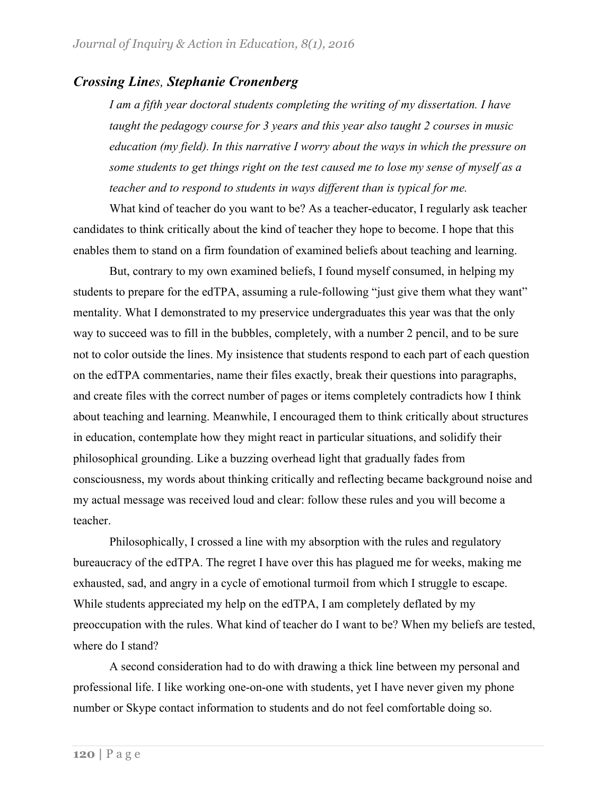### *Crossing Lines, Stephanie Cronenberg*

*I am a fifth year doctoral students completing the writing of my dissertation. I have taught the pedagogy course for 3 years and this year also taught 2 courses in music education (my field). In this narrative I worry about the ways in which the pressure on some students to get things right on the test caused me to lose my sense of myself as a teacher and to respond to students in ways different than is typical for me.*

What kind of teacher do you want to be? As a teacher-educator, I regularly ask teacher candidates to think critically about the kind of teacher they hope to become. I hope that this enables them to stand on a firm foundation of examined beliefs about teaching and learning.

But, contrary to my own examined beliefs, I found myself consumed, in helping my students to prepare for the edTPA, assuming a rule-following "just give them what they want" mentality. What I demonstrated to my preservice undergraduates this year was that the only way to succeed was to fill in the bubbles, completely, with a number 2 pencil, and to be sure not to color outside the lines. My insistence that students respond to each part of each question on the edTPA commentaries, name their files exactly, break their questions into paragraphs, and create files with the correct number of pages or items completely contradicts how I think about teaching and learning. Meanwhile, I encouraged them to think critically about structures in education, contemplate how they might react in particular situations, and solidify their philosophical grounding. Like a buzzing overhead light that gradually fades from consciousness, my words about thinking critically and reflecting became background noise and my actual message was received loud and clear: follow these rules and you will become a teacher.

Philosophically, I crossed a line with my absorption with the rules and regulatory bureaucracy of the edTPA. The regret I have over this has plagued me for weeks, making me exhausted, sad, and angry in a cycle of emotional turmoil from which I struggle to escape. While students appreciated my help on the edTPA, I am completely deflated by my preoccupation with the rules. What kind of teacher do I want to be? When my beliefs are tested, where do I stand?

A second consideration had to do with drawing a thick line between my personal and professional life. I like working one-on-one with students, yet I have never given my phone number or Skype contact information to students and do not feel comfortable doing so.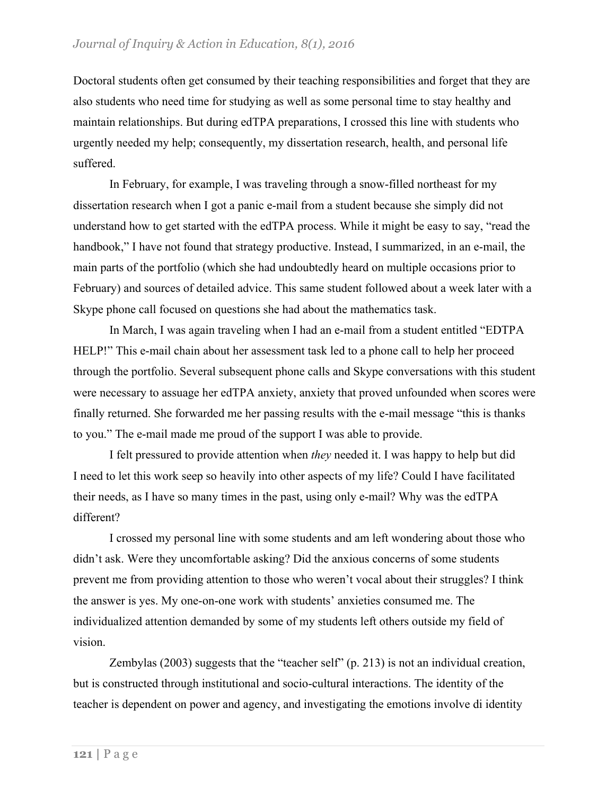Doctoral students often get consumed by their teaching responsibilities and forget that they are also students who need time for studying as well as some personal time to stay healthy and maintain relationships. But during edTPA preparations, I crossed this line with students who urgently needed my help; consequently, my dissertation research, health, and personal life suffered.

In February, for example, I was traveling through a snow-filled northeast for my dissertation research when I got a panic e-mail from a student because she simply did not understand how to get started with the edTPA process. While it might be easy to say, "read the handbook," I have not found that strategy productive. Instead, I summarized, in an e-mail, the main parts of the portfolio (which she had undoubtedly heard on multiple occasions prior to February) and sources of detailed advice. This same student followed about a week later with a Skype phone call focused on questions she had about the mathematics task.

In March, I was again traveling when I had an e-mail from a student entitled "EDTPA HELP!" This e-mail chain about her assessment task led to a phone call to help her proceed through the portfolio. Several subsequent phone calls and Skype conversations with this student were necessary to assuage her edTPA anxiety, anxiety that proved unfounded when scores were finally returned. She forwarded me her passing results with the e-mail message "this is thanks to you." The e-mail made me proud of the support I was able to provide.

I felt pressured to provide attention when *they* needed it. I was happy to help but did I need to let this work seep so heavily into other aspects of my life? Could I have facilitated their needs, as I have so many times in the past, using only e-mail? Why was the edTPA different?

I crossed my personal line with some students and am left wondering about those who didn't ask. Were they uncomfortable asking? Did the anxious concerns of some students prevent me from providing attention to those who weren't vocal about their struggles? I think the answer is yes. My one-on-one work with students' anxieties consumed me. The individualized attention demanded by some of my students left others outside my field of vision.

Zembylas (2003) suggests that the "teacher self" (p. 213) is not an individual creation, but is constructed through institutional and socio-cultural interactions. The identity of the teacher is dependent on power and agency, and investigating the emotions involve di identity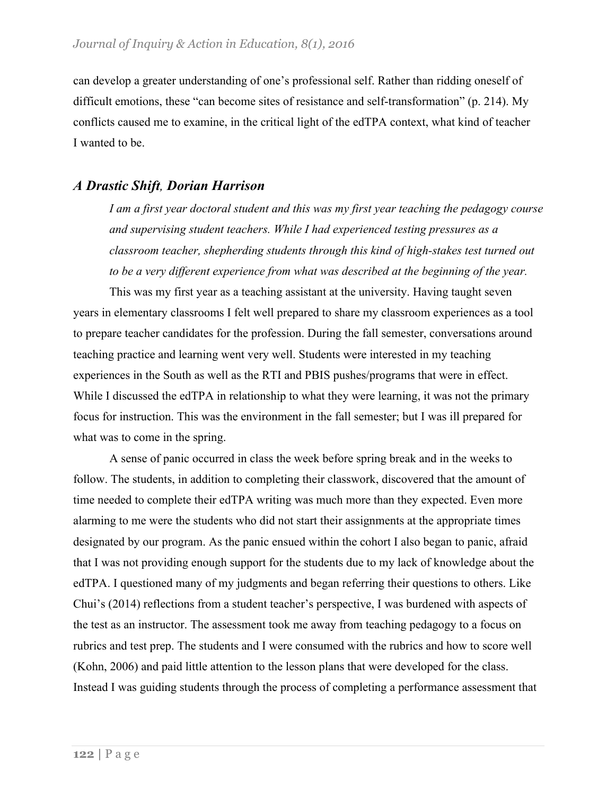can develop a greater understanding of one's professional self. Rather than ridding oneself of difficult emotions, these "can become sites of resistance and self-transformation" (p. 214). My conflicts caused me to examine, in the critical light of the edTPA context, what kind of teacher I wanted to be.

### *A Drastic Shift, Dorian Harrison*

*I am a first year doctoral student and this was my first year teaching the pedagogy course and supervising student teachers. While I had experienced testing pressures as a classroom teacher, shepherding students through this kind of high-stakes test turned out to be a very different experience from what was described at the beginning of the year.*

This was my first year as a teaching assistant at the university. Having taught seven years in elementary classrooms I felt well prepared to share my classroom experiences as a tool to prepare teacher candidates for the profession. During the fall semester, conversations around teaching practice and learning went very well. Students were interested in my teaching experiences in the South as well as the RTI and PBIS pushes/programs that were in effect. While I discussed the edTPA in relationship to what they were learning, it was not the primary focus for instruction. This was the environment in the fall semester; but I was ill prepared for what was to come in the spring.

A sense of panic occurred in class the week before spring break and in the weeks to follow. The students, in addition to completing their classwork, discovered that the amount of time needed to complete their edTPA writing was much more than they expected. Even more alarming to me were the students who did not start their assignments at the appropriate times designated by our program. As the panic ensued within the cohort I also began to panic, afraid that I was not providing enough support for the students due to my lack of knowledge about the edTPA. I questioned many of my judgments and began referring their questions to others. Like Chui's (2014) reflections from a student teacher's perspective, I was burdened with aspects of the test as an instructor. The assessment took me away from teaching pedagogy to a focus on rubrics and test prep. The students and I were consumed with the rubrics and how to score well (Kohn, 2006) and paid little attention to the lesson plans that were developed for the class. Instead I was guiding students through the process of completing a performance assessment that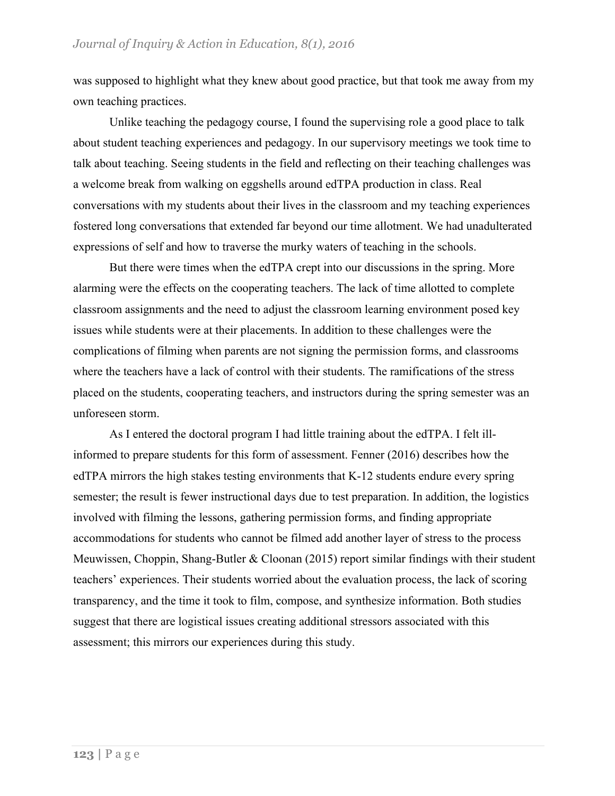was supposed to highlight what they knew about good practice, but that took me away from my own teaching practices.

Unlike teaching the pedagogy course, I found the supervising role a good place to talk about student teaching experiences and pedagogy. In our supervisory meetings we took time to talk about teaching. Seeing students in the field and reflecting on their teaching challenges was a welcome break from walking on eggshells around edTPA production in class. Real conversations with my students about their lives in the classroom and my teaching experiences fostered long conversations that extended far beyond our time allotment. We had unadulterated expressions of self and how to traverse the murky waters of teaching in the schools.

But there were times when the edTPA crept into our discussions in the spring. More alarming were the effects on the cooperating teachers. The lack of time allotted to complete classroom assignments and the need to adjust the classroom learning environment posed key issues while students were at their placements. In addition to these challenges were the complications of filming when parents are not signing the permission forms, and classrooms where the teachers have a lack of control with their students. The ramifications of the stress placed on the students, cooperating teachers, and instructors during the spring semester was an unforeseen storm.

As I entered the doctoral program I had little training about the edTPA. I felt illinformed to prepare students for this form of assessment. Fenner (2016) describes how the edTPA mirrors the high stakes testing environments that K-12 students endure every spring semester; the result is fewer instructional days due to test preparation. In addition, the logistics involved with filming the lessons, gathering permission forms, and finding appropriate accommodations for students who cannot be filmed add another layer of stress to the process Meuwissen, Choppin, Shang-Butler & Cloonan (2015) report similar findings with their student teachers' experiences. Their students worried about the evaluation process, the lack of scoring transparency, and the time it took to film, compose, and synthesize information. Both studies suggest that there are logistical issues creating additional stressors associated with this assessment; this mirrors our experiences during this study.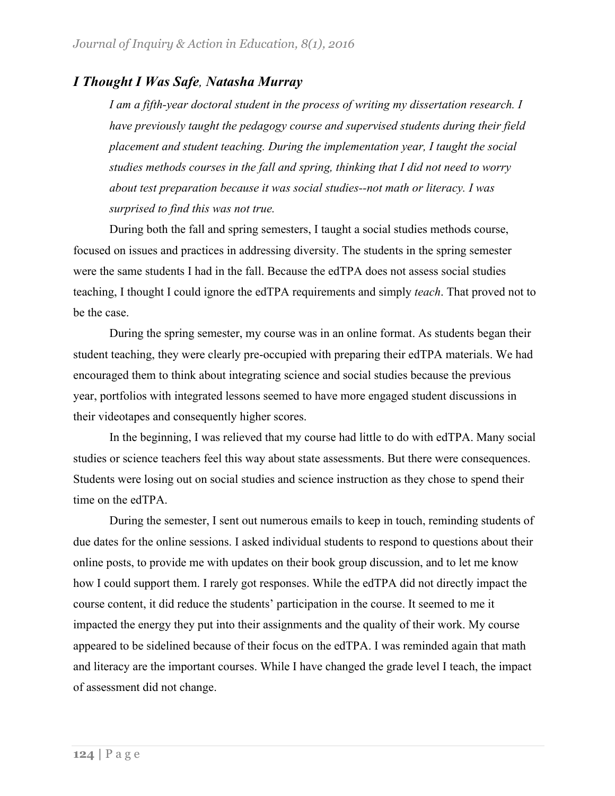### *I Thought I Was Safe, Natasha Murray*

*I am a fifth-year doctoral student in the process of writing my dissertation research. I have previously taught the pedagogy course and supervised students during their field placement and student teaching. During the implementation year, I taught the social studies methods courses in the fall and spring, thinking that I did not need to worry about test preparation because it was social studies--not math or literacy. I was surprised to find this was not true.*

During both the fall and spring semesters, I taught a social studies methods course, focused on issues and practices in addressing diversity. The students in the spring semester were the same students I had in the fall. Because the edTPA does not assess social studies teaching, I thought I could ignore the edTPA requirements and simply *teach*. That proved not to be the case.

During the spring semester, my course was in an online format. As students began their student teaching, they were clearly pre-occupied with preparing their edTPA materials. We had encouraged them to think about integrating science and social studies because the previous year, portfolios with integrated lessons seemed to have more engaged student discussions in their videotapes and consequently higher scores.

In the beginning, I was relieved that my course had little to do with edTPA. Many social studies or science teachers feel this way about state assessments. But there were consequences. Students were losing out on social studies and science instruction as they chose to spend their time on the edTPA.

During the semester, I sent out numerous emails to keep in touch, reminding students of due dates for the online sessions. I asked individual students to respond to questions about their online posts, to provide me with updates on their book group discussion, and to let me know how I could support them. I rarely got responses. While the edTPA did not directly impact the course content, it did reduce the students' participation in the course. It seemed to me it impacted the energy they put into their assignments and the quality of their work. My course appeared to be sidelined because of their focus on the edTPA. I was reminded again that math and literacy are the important courses. While I have changed the grade level I teach, the impact of assessment did not change.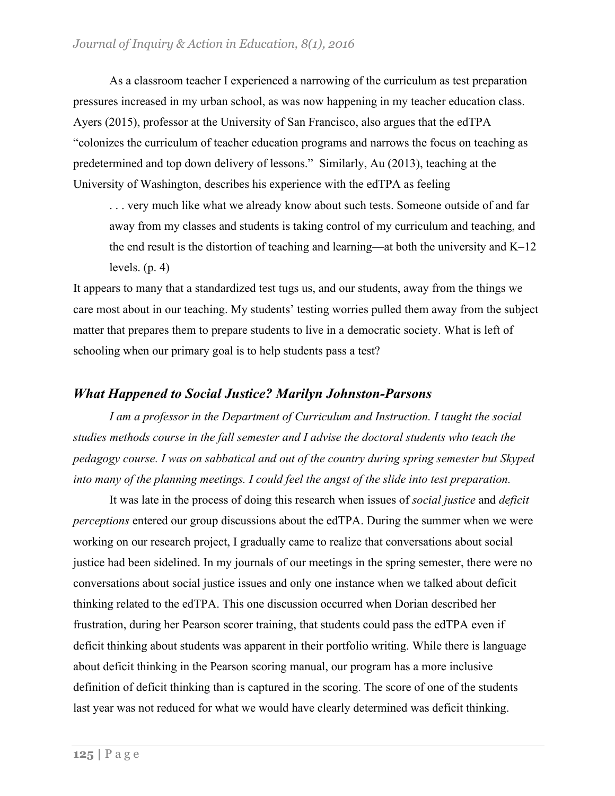As a classroom teacher I experienced a narrowing of the curriculum as test preparation pressures increased in my urban school, as was now happening in my teacher education class. Ayers (2015), professor at the University of San Francisco, also argues that the edTPA "colonizes the curriculum of teacher education programs and narrows the focus on teaching as predetermined and top down delivery of lessons." Similarly, Au (2013), teaching at the University of Washington, describes his experience with the edTPA as feeling

. . . very much like what we already know about such tests. Someone outside of and far away from my classes and students is taking control of my curriculum and teaching, and the end result is the distortion of teaching and learning—at both the university and K–12 levels.  $(p, 4)$ 

It appears to many that a standardized test tugs us, and our students, away from the things we care most about in our teaching. My students' testing worries pulled them away from the subject matter that prepares them to prepare students to live in a democratic society. What is left of schooling when our primary goal is to help students pass a test?

### *What Happened to Social Justice? Marilyn Johnston-Parsons*

*I am a professor in the Department of Curriculum and Instruction. I taught the social studies methods course in the fall semester and I advise the doctoral students who teach the pedagogy course. I was on sabbatical and out of the country during spring semester but Skyped into many of the planning meetings. I could feel the angst of the slide into test preparation.*

It was late in the process of doing this research when issues of *social justice* and *deficit perceptions* entered our group discussions about the edTPA. During the summer when we were working on our research project, I gradually came to realize that conversations about social justice had been sidelined. In my journals of our meetings in the spring semester, there were no conversations about social justice issues and only one instance when we talked about deficit thinking related to the edTPA. This one discussion occurred when Dorian described her frustration, during her Pearson scorer training, that students could pass the edTPA even if deficit thinking about students was apparent in their portfolio writing. While there is language about deficit thinking in the Pearson scoring manual, our program has a more inclusive definition of deficit thinking than is captured in the scoring. The score of one of the students last year was not reduced for what we would have clearly determined was deficit thinking.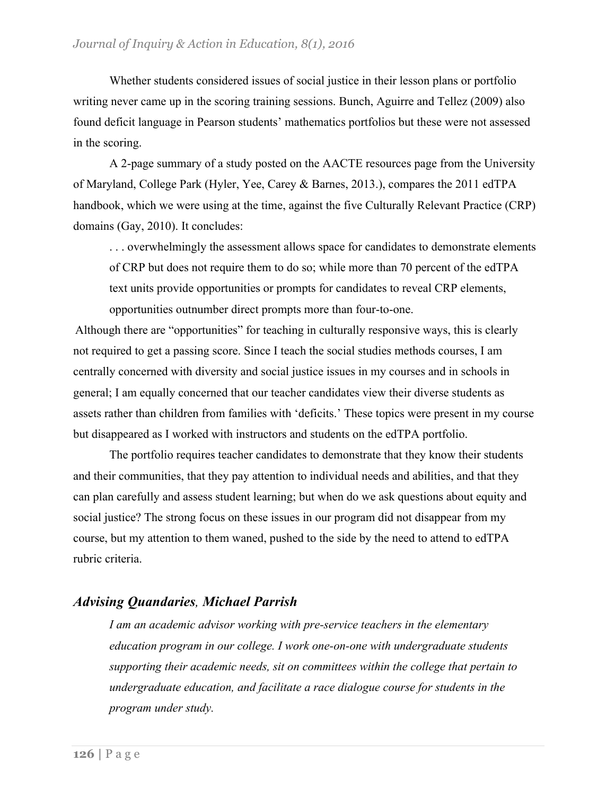Whether students considered issues of social justice in their lesson plans or portfolio writing never came up in the scoring training sessions. Bunch, Aguirre and Tellez (2009) also found deficit language in Pearson students' mathematics portfolios but these were not assessed in the scoring.

A 2-page summary of a study posted on the AACTE resources page from the University of Maryland, College Park (Hyler, Yee, Carey & Barnes, 2013.), compares the 2011 edTPA handbook, which we were using at the time, against the five Culturally Relevant Practice (CRP) domains (Gay, 2010). It concludes:

. . . overwhelmingly the assessment allows space for candidates to demonstrate elements of CRP but does not require them to do so; while more than 70 percent of the edTPA text units provide opportunities or prompts for candidates to reveal CRP elements, opportunities outnumber direct prompts more than four-to-one.

Although there are "opportunities" for teaching in culturally responsive ways, this is clearly not required to get a passing score. Since I teach the social studies methods courses, I am centrally concerned with diversity and social justice issues in my courses and in schools in general; I am equally concerned that our teacher candidates view their diverse students as assets rather than children from families with 'deficits.' These topics were present in my course but disappeared as I worked with instructors and students on the edTPA portfolio.

The portfolio requires teacher candidates to demonstrate that they know their students and their communities, that they pay attention to individual needs and abilities, and that they can plan carefully and assess student learning; but when do we ask questions about equity and social justice? The strong focus on these issues in our program did not disappear from my course, but my attention to them waned, pushed to the side by the need to attend to edTPA rubric criteria.

### *Advising Quandaries, Michael Parrish*

*I am an academic advisor working with pre-service teachers in the elementary education program in our college. I work one-on-one with undergraduate students supporting their academic needs, sit on committees within the college that pertain to undergraduate education, and facilitate a race dialogue course for students in the program under study.*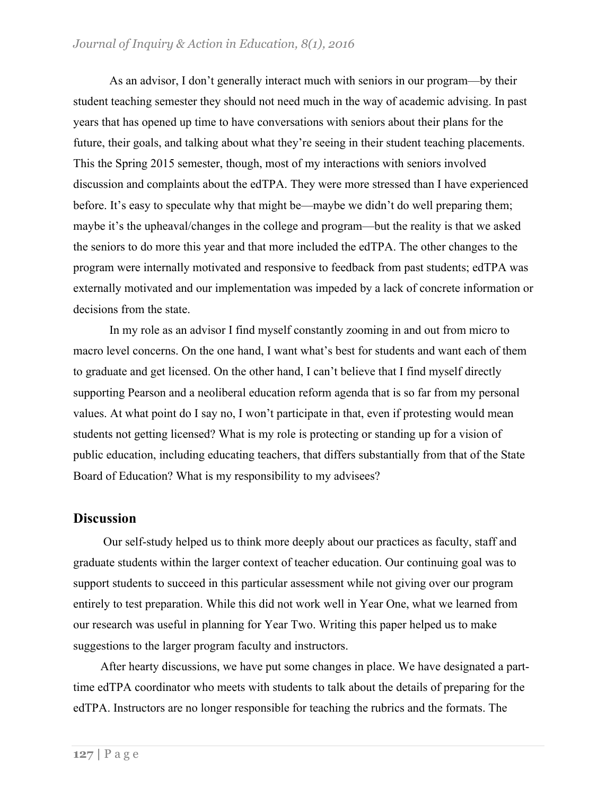As an advisor, I don't generally interact much with seniors in our program—by their student teaching semester they should not need much in the way of academic advising. In past years that has opened up time to have conversations with seniors about their plans for the future, their goals, and talking about what they're seeing in their student teaching placements. This the Spring 2015 semester, though, most of my interactions with seniors involved discussion and complaints about the edTPA. They were more stressed than I have experienced before. It's easy to speculate why that might be—maybe we didn't do well preparing them; maybe it's the upheaval/changes in the college and program—but the reality is that we asked the seniors to do more this year and that more included the edTPA. The other changes to the program were internally motivated and responsive to feedback from past students; edTPA was externally motivated and our implementation was impeded by a lack of concrete information or decisions from the state.

In my role as an advisor I find myself constantly zooming in and out from micro to macro level concerns. On the one hand, I want what's best for students and want each of them to graduate and get licensed. On the other hand, I can't believe that I find myself directly supporting Pearson and a neoliberal education reform agenda that is so far from my personal values. At what point do I say no, I won't participate in that, even if protesting would mean students not getting licensed? What is my role is protecting or standing up for a vision of public education, including educating teachers, that differs substantially from that of the State Board of Education? What is my responsibility to my advisees?

#### **Discussion**

Our self-study helped us to think more deeply about our practices as faculty, staff and graduate students within the larger context of teacher education. Our continuing goal was to support students to succeed in this particular assessment while not giving over our program entirely to test preparation. While this did not work well in Year One, what we learned from our research was useful in planning for Year Two. Writing this paper helped us to make suggestions to the larger program faculty and instructors.

After hearty discussions, we have put some changes in place. We have designated a parttime edTPA coordinator who meets with students to talk about the details of preparing for the edTPA. Instructors are no longer responsible for teaching the rubrics and the formats. The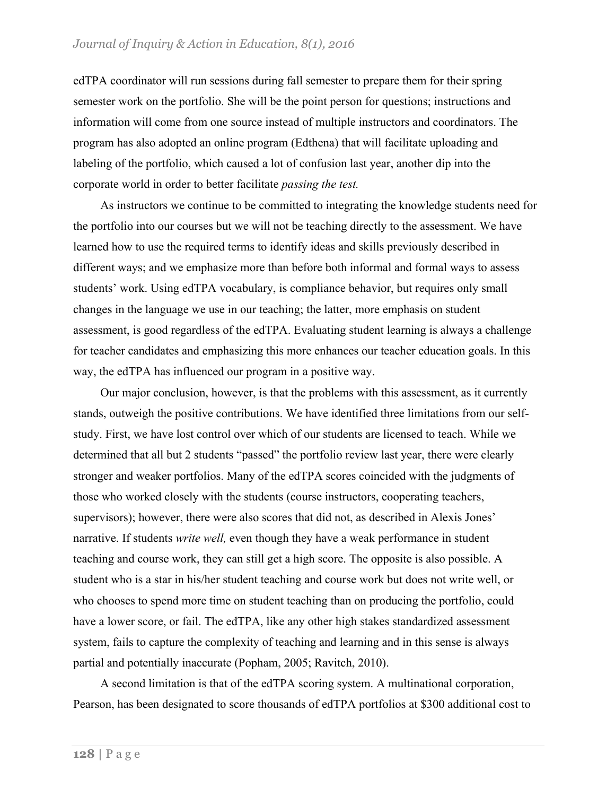edTPA coordinator will run sessions during fall semester to prepare them for their spring semester work on the portfolio. She will be the point person for questions; instructions and information will come from one source instead of multiple instructors and coordinators. The program has also adopted an online program (Edthena) that will facilitate uploading and labeling of the portfolio, which caused a lot of confusion last year, another dip into the corporate world in order to better facilitate *passing the test.*

As instructors we continue to be committed to integrating the knowledge students need for the portfolio into our courses but we will not be teaching directly to the assessment. We have learned how to use the required terms to identify ideas and skills previously described in different ways; and we emphasize more than before both informal and formal ways to assess students' work. Using edTPA vocabulary, is compliance behavior, but requires only small changes in the language we use in our teaching; the latter, more emphasis on student assessment, is good regardless of the edTPA. Evaluating student learning is always a challenge for teacher candidates and emphasizing this more enhances our teacher education goals. In this way, the edTPA has influenced our program in a positive way.

Our major conclusion, however, is that the problems with this assessment, as it currently stands, outweigh the positive contributions. We have identified three limitations from our selfstudy. First, we have lost control over which of our students are licensed to teach. While we determined that all but 2 students "passed" the portfolio review last year, there were clearly stronger and weaker portfolios. Many of the edTPA scores coincided with the judgments of those who worked closely with the students (course instructors, cooperating teachers, supervisors); however, there were also scores that did not, as described in Alexis Jones' narrative. If students *write well,* even though they have a weak performance in student teaching and course work, they can still get a high score. The opposite is also possible. A student who is a star in his/her student teaching and course work but does not write well, or who chooses to spend more time on student teaching than on producing the portfolio, could have a lower score, or fail. The edTPA, like any other high stakes standardized assessment system, fails to capture the complexity of teaching and learning and in this sense is always partial and potentially inaccurate (Popham, 2005; Ravitch, 2010).

A second limitation is that of the edTPA scoring system. A multinational corporation, Pearson, has been designated to score thousands of edTPA portfolios at \$300 additional cost to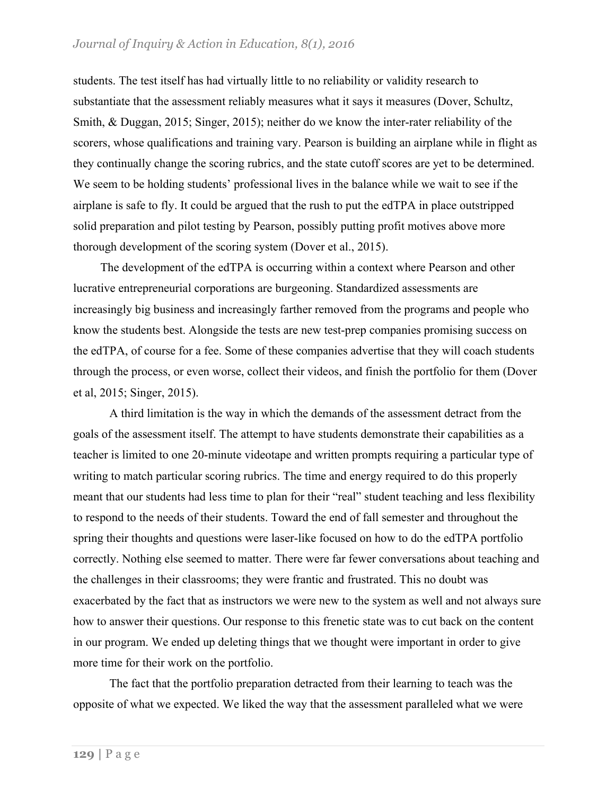students. The test itself has had virtually little to no reliability or validity research to substantiate that the assessment reliably measures what it says it measures (Dover, Schultz, Smith, & Duggan, 2015; Singer, 2015); neither do we know the inter-rater reliability of the scorers, whose qualifications and training vary. Pearson is building an airplane while in flight as they continually change the scoring rubrics, and the state cutoff scores are yet to be determined. We seem to be holding students' professional lives in the balance while we wait to see if the airplane is safe to fly. It could be argued that the rush to put the edTPA in place outstripped solid preparation and pilot testing by Pearson, possibly putting profit motives above more thorough development of the scoring system (Dover et al., 2015).

The development of the edTPA is occurring within a context where Pearson and other lucrative entrepreneurial corporations are burgeoning. Standardized assessments are increasingly big business and increasingly farther removed from the programs and people who know the students best. Alongside the tests are new test-prep companies promising success on the edTPA, of course for a fee. Some of these companies advertise that they will coach students through the process, or even worse, collect their videos, and finish the portfolio for them (Dover et al, 2015; Singer, 2015).

A third limitation is the way in which the demands of the assessment detract from the goals of the assessment itself. The attempt to have students demonstrate their capabilities as a teacher is limited to one 20-minute videotape and written prompts requiring a particular type of writing to match particular scoring rubrics. The time and energy required to do this properly meant that our students had less time to plan for their "real" student teaching and less flexibility to respond to the needs of their students. Toward the end of fall semester and throughout the spring their thoughts and questions were laser-like focused on how to do the edTPA portfolio correctly. Nothing else seemed to matter. There were far fewer conversations about teaching and the challenges in their classrooms; they were frantic and frustrated. This no doubt was exacerbated by the fact that as instructors we were new to the system as well and not always sure how to answer their questions. Our response to this frenetic state was to cut back on the content in our program. We ended up deleting things that we thought were important in order to give more time for their work on the portfolio.

The fact that the portfolio preparation detracted from their learning to teach was the opposite of what we expected. We liked the way that the assessment paralleled what we were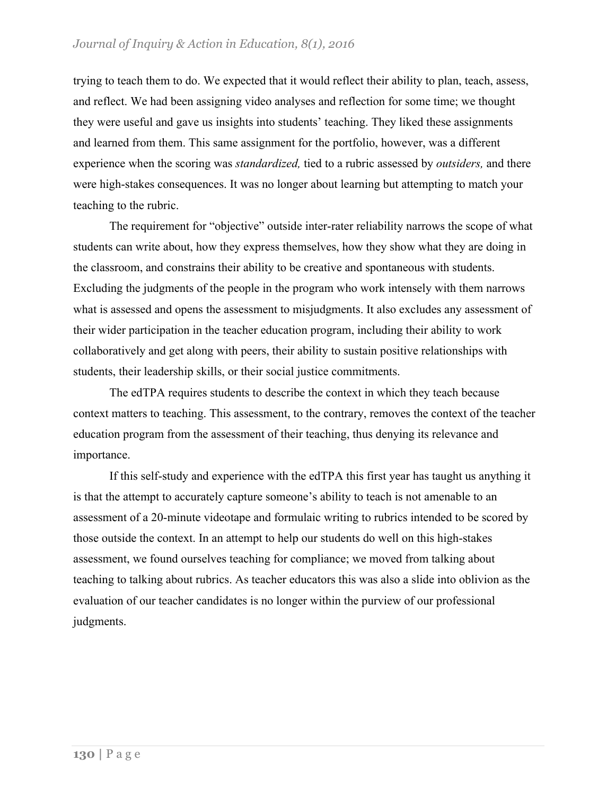trying to teach them to do. We expected that it would reflect their ability to plan, teach, assess, and reflect. We had been assigning video analyses and reflection for some time; we thought they were useful and gave us insights into students' teaching. They liked these assignments and learned from them. This same assignment for the portfolio, however, was a different experience when the scoring was *standardized,* tied to a rubric assessed by *outsiders,* and there were high-stakes consequences. It was no longer about learning but attempting to match your teaching to the rubric.

The requirement for "objective" outside inter-rater reliability narrows the scope of what students can write about, how they express themselves, how they show what they are doing in the classroom, and constrains their ability to be creative and spontaneous with students. Excluding the judgments of the people in the program who work intensely with them narrows what is assessed and opens the assessment to misjudgments. It also excludes any assessment of their wider participation in the teacher education program, including their ability to work collaboratively and get along with peers, their ability to sustain positive relationships with students, their leadership skills, or their social justice commitments.

The edTPA requires students to describe the context in which they teach because context matters to teaching. This assessment, to the contrary, removes the context of the teacher education program from the assessment of their teaching, thus denying its relevance and importance.

If this self-study and experience with the edTPA this first year has taught us anything it is that the attempt to accurately capture someone's ability to teach is not amenable to an assessment of a 20-minute videotape and formulaic writing to rubrics intended to be scored by those outside the context. In an attempt to help our students do well on this high-stakes assessment, we found ourselves teaching for compliance; we moved from talking about teaching to talking about rubrics. As teacher educators this was also a slide into oblivion as the evaluation of our teacher candidates is no longer within the purview of our professional judgments.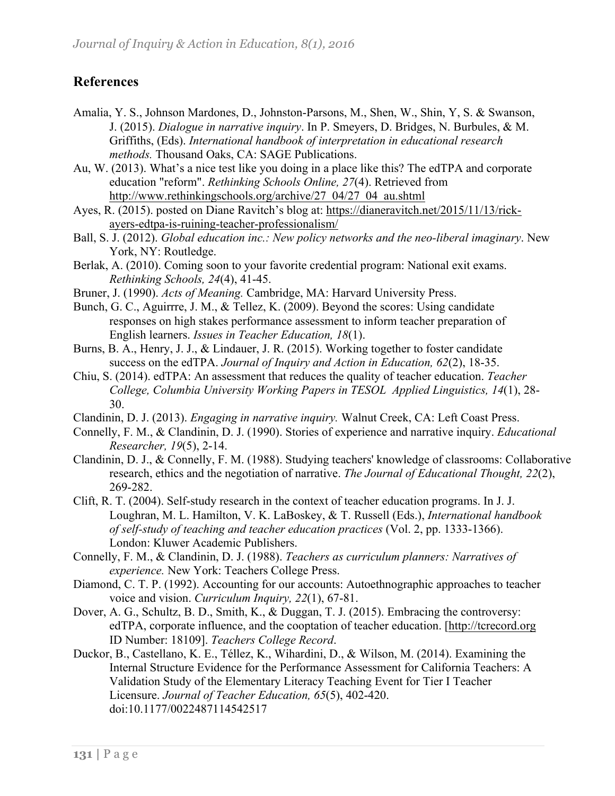## **References**

- Amalia, Y. S., Johnson Mardones, D., Johnston-Parsons, M., Shen, W., Shin, Y, S. & Swanson, J. (2015). *Dialogue in narrative inquiry*. In P. Smeyers, D. Bridges, N. Burbules, & M. Griffiths, (Eds). *International handbook of interpretation in educational research methods.* Thousand Oaks, CA: SAGE Publications.
- Au, W. (2013). What's a nice test like you doing in a place like this? The edTPA and corporate education "reform". *Rethinking Schools Online, 27*(4). Retrieved from http://www.rethinkingschools.org/archive/27\_04/27\_04\_au.shtml
- Ayes, R. (2015). posted on Diane Ravitch's blog at: https://dianeravitch.net/2015/11/13/rickayers-edtpa-is-ruining-teacher-professionalism/
- Ball, S. J. (2012). *Global education inc.: New policy networks and the neo-liberal imaginary*. New York, NY: Routledge.
- Berlak, A. (2010). Coming soon to your favorite credential program: National exit exams. *Rethinking Schools, 24*(4), 41-45.
- Bruner, J. (1990). *Acts of Meaning.* Cambridge, MA: Harvard University Press.
- Bunch, G. C., Aguirrre, J. M., & Tellez, K. (2009). Beyond the scores: Using candidate responses on high stakes performance assessment to inform teacher preparation of English learners. *Issues in Teacher Education, 18*(1).
- Burns, B. A., Henry, J. J., & Lindauer, J. R. (2015). Working together to foster candidate success on the edTPA. *Journal of Inquiry and Action in Education, 62*(2), 18-35.
- Chiu, S. (2014). edTPA: An assessment that reduces the quality of teacher education. *Teacher College, Columbia University Working Papers in TESOL Applied Linguistics, 14*(1), 28- 30.
- Clandinin, D. J. (2013). *Engaging in narrative inquiry.* Walnut Creek, CA: Left Coast Press.
- Connelly, F. M., & Clandinin, D. J. (1990). Stories of experience and narrative inquiry. *Educational Researcher, 19*(5), 2-14.
- Clandinin, D. J., & Connelly, F. M. (1988). Studying teachers' knowledge of classrooms: Collaborative research, ethics and the negotiation of narrative. *The Journal of Educational Thought, 22*(2), 269-282.
- Clift, R. T. (2004). Self-study research in the context of teacher education programs. In J. J. Loughran, M. L. Hamilton, V. K. LaBoskey, & T. Russell (Eds.), *International handbook of self-study of teaching and teacher education practices* (Vol. 2, pp. 1333-1366). London: Kluwer Academic Publishers.
- Connelly, F. M., & Clandinin, D. J. (1988). *Teachers as curriculum planners: Narratives of experience.* New York: Teachers College Press.
- Diamond, C. T. P. (1992). Accounting for our accounts: Autoethnographic approaches to teacher voice and vision. *Curriculum Inquiry, 22*(1), 67-81.
- Dover, A. G., Schultz, B. D., Smith, K., & Duggan, T. J. (2015). Embracing the controversy: edTPA, corporate influence, and the cooptation of teacher education. [http://tcrecord.org ID Number: 18109]. *Teachers College Record*.
- Duckor, B., Castellano, K. E., Téllez, K., Wihardini, D., & Wilson, M. (2014). Examining the Internal Structure Evidence for the Performance Assessment for California Teachers: A Validation Study of the Elementary Literacy Teaching Event for Tier I Teacher Licensure. *Journal of Teacher Education, 65*(5), 402-420. doi:10.1177/0022487114542517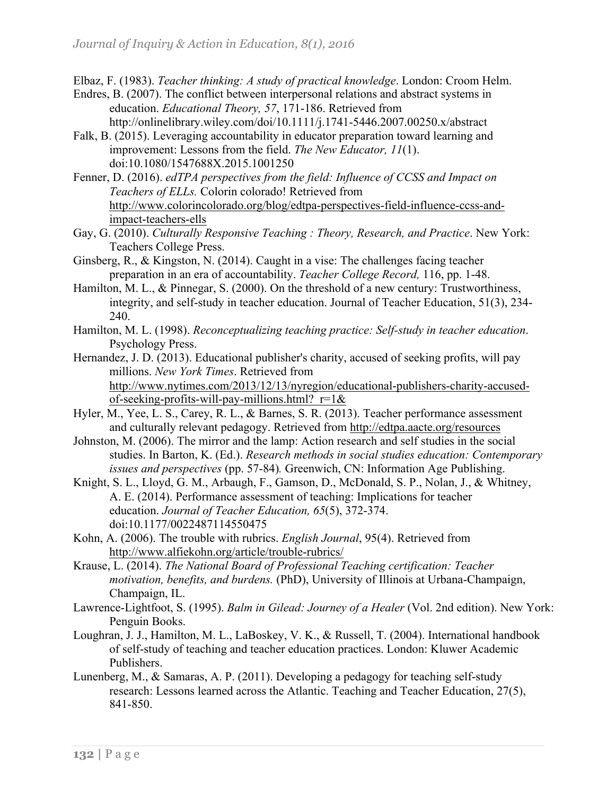Elbaz, F. (1983). *Teacher thinking: A study of practical knowledge*. London: Croom Helm.

- Endres, B. (2007). The conflict between interpersonal relations and abstract systems in education. *Educational Theory, 57*, 171-186. Retrieved from http://onlinelibrary.wiley.com/doi/10.1111/j.1741-5446.2007.00250.x/abstract
- Falk, B. (2015). Leveraging accountability in educator preparation toward learning and improvement: Lessons from the field. *The New Educator, 11*(1). doi:10.1080/1547688X.2015.1001250
- Fenner, D. (2016). *edTPA perspectives from the field: Influence of CCSS and Impact on Teachers of ELLs.* Colorin colorado! Retrieved from http://www.colorincolorado.org/blog/edtpa-perspectives-field-influence-ccss-andimpact-teachers-ells
- Gay, G. (2010). *Culturally Responsive Teaching : Theory, Research, and Practice*. New York: Teachers College Press.
- Ginsberg, R., & Kingston, N. (2014). Caught in a vise: The challenges facing teacher preparation in an era of accountability. *Teacher College Record,* 116, pp. 1-48.
- Hamilton, M. L., & Pinnegar, S. (2000). On the threshold of a new century: Trustworthiness, integrity, and self-study in teacher education. Journal of Teacher Education, 51(3), 234- 240.
- Hamilton, M. L. (1998). *Reconceptualizing teaching practice: Self-study in teacher education*. Psychology Press.
- Hernandez, J. D. (2013). Educational publisher's charity, accused of seeking profits, will pay millions. *New York Times*. Retrieved from http://www.nytimes.com/2013/12/13/nyregion/educational-publishers-charity-accusedof-seeking-profits-will-pay-millions.html?  $r=1&$
- Hyler, M., Yee, L. S., Carey, R. L., & Barnes, S. R. (2013). Teacher performance assessment and culturally relevant pedagogy. Retrieved from http://edtpa.aacte.org/resources
- Johnston, M. (2006). The mirror and the lamp: Action research and self studies in the social studies. In Barton, K. (Ed.). *Research methods in social studies education: Contemporary issues and perspectives* (pp. 57-84)*.* Greenwich, CN: Information Age Publishing.
- Knight, S. L., Lloyd, G. M., Arbaugh, F., Gamson, D., McDonald, S. P., Nolan, J., & Whitney, A. E. (2014). Performance assessment of teaching: Implications for teacher education. *Journal of Teacher Education, 65*(5), 372-374. doi:10.1177/0022487114550475
- Kohn, A. (2006). The trouble with rubrics. *English Journal*, 95(4). Retrieved from http://www.alfiekohn.org/article/trouble-rubrics/
- Krause, L. (2014). *The National Board of Professional Teaching certification: Teacher motivation, benefits, and burdens.* (PhD), University of Illinois at Urbana-Champaign, Champaign, IL.
- Lawrence-Lightfoot, S. (1995). *Balm in Gilead: Journey of a Healer* (Vol. 2nd edition). New York: Penguin Books.
- Loughran, J. J., Hamilton, M. L., LaBoskey, V. K., & Russell, T. (2004). International handbook of self-study of teaching and teacher education practices. London: Kluwer Academic Publishers.
- Lunenberg, M., & Samaras, A. P. (2011). Developing a pedagogy for teaching self-study research: Lessons learned across the Atlantic. Teaching and Teacher Education, 27(5), 841-850.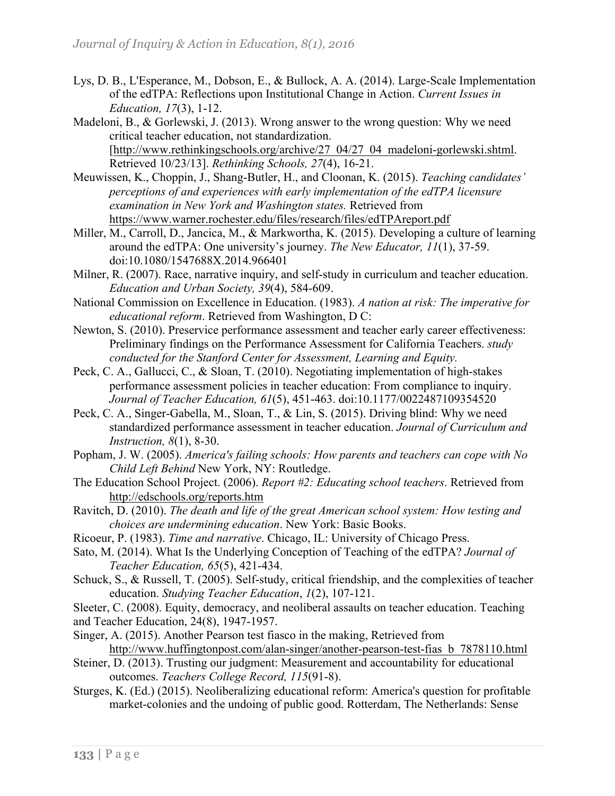- Lys, D. B., L'Esperance, M., Dobson, E., & Bullock, A. A. (2014). Large-Scale Implementation of the edTPA: Reflections upon Institutional Change in Action. *Current Issues in Education, 17*(3), 1-12.
- Madeloni, B., & Gorlewski, J. (2013). Wrong answer to the wrong question: Why we need critical teacher education, not standardization. [http://www.rethinkingschools.org/archive/27\_04/27\_04\_madeloni-gorlewski.shtml. Retrieved 10/23/13]. *Rethinking Schools, 27*(4), 16-21.
- Meuwissen, K., Choppin, J., Shang-Butler, H., and Cloonan, K. (2015). *Teaching candidates' perceptions of and experiences with early implementation of the edTPA licensure examination in New York and Washington states.* Retrieved from https://www.warner.rochester.edu/files/research/files/edTPAreport.pdf
- Miller, M., Carroll, D., Jancica, M., & Markwortha, K. (2015). Developing a culture of learning around the edTPA: One university's journey. *The New Educator, 11*(1), 37-59. doi:10.1080/1547688X.2014.966401
- Milner, R. (2007). Race, narrative inquiry, and self-study in curriculum and teacher education. *Education and Urban Society, 39*(4), 584-609.
- National Commission on Excellence in Education. (1983). *A nation at risk: The imperative for educational reform*. Retrieved from Washington, D C:
- Newton, S. (2010). Preservice performance assessment and teacher early career effectiveness: Preliminary findings on the Performance Assessment for California Teachers. *study conducted for the Stanford Center for Assessment, Learning and Equity.*
- Peck, C. A., Gallucci, C., & Sloan, T. (2010). Negotiating implementation of high-stakes performance assessment policies in teacher education: From compliance to inquiry. *Journal of Teacher Education, 61*(5), 451-463. doi:10.1177/0022487109354520
- Peck, C. A., Singer-Gabella, M., Sloan, T., & Lin, S. (2015). Driving blind: Why we need standardized performance assessment in teacher education. *Journal of Curriculum and Instruction, 8*(1), 8-30.
- Popham, J. W. (2005). *America's failing schools: How parents and teachers can cope with No Child Left Behind* New York, NY: Routledge.
- The Education School Project. (2006). *Report #2: Educating school teachers*. Retrieved from http://edschools.org/reports.htm
- Ravitch, D. (2010). *The death and life of the great American school system: How testing and choices are undermining education*. New York: Basic Books.
- Ricoeur, P. (1983). *Time and narrative*. Chicago, IL: University of Chicago Press.
- Sato, M. (2014). What Is the Underlying Conception of Teaching of the edTPA? *Journal of Teacher Education, 65*(5), 421-434.
- Schuck, S., & Russell, T. (2005). Self-study, critical friendship, and the complexities of teacher education. *Studying Teacher Education*, *1*(2), 107-121.
- Sleeter, C. (2008). Equity, democracy, and neoliberal assaults on teacher education. Teaching and Teacher Education, 24(8), 1947-1957.
- Singer, A. (2015). Another Pearson test fiasco in the making, Retrieved from http://www.huffingtonpost.com/alan-singer/another-pearson-test-fias\_b\_7878110.html
- Steiner, D. (2013). Trusting our judgment: Measurement and accountability for educational outcomes. *Teachers College Record, 115*(91-8).
- Sturges, K. (Ed.) (2015). Neoliberalizing educational reform: America's question for profitable market-colonies and the undoing of public good. Rotterdam, The Netherlands: Sense